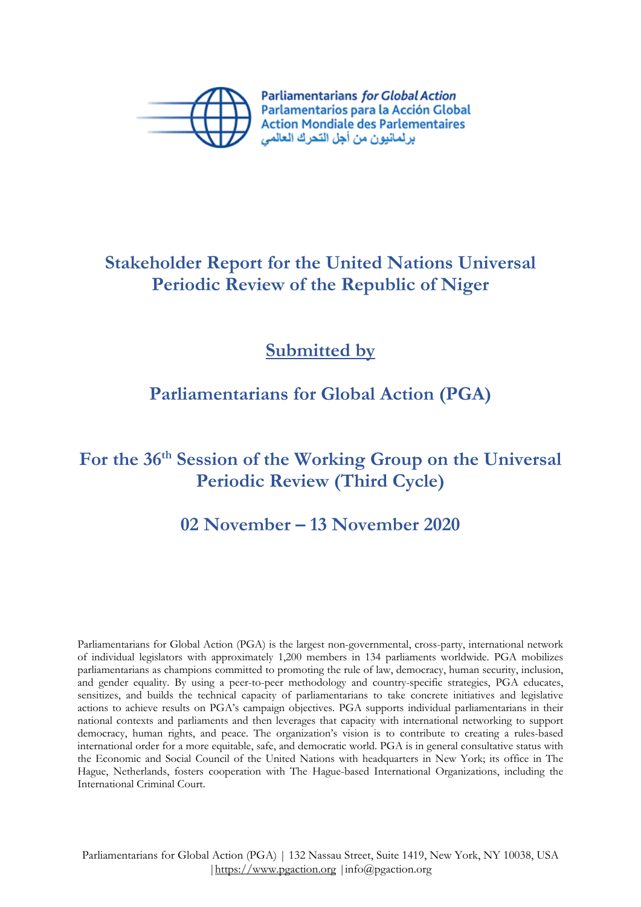

**Parliamentarians for Global Action** Parlamentarios para la Acción Global **Action Mondiale des Parlementaires** ير لمانيون من أجل التحر ك العالمي

## **Stakeholder Report for the United Nations Universal Periodic Review of the Republic of Niger**

**Submitted by**

### **Parliamentarians for Global Action (PGA)**

# **For the 36th Session of the Working Group on the Universal Periodic Review (Third Cycle)**

### **02 November – 13 November 2020**

Parliamentarians for Global Action (PGA) is the largest non-governmental, cross-party, international network of individual legislators with approximately 1,200 members in 134 parliaments worldwide. PGA mobilizes parliamentarians as champions committed to promoting the rule of law, democracy, human security, inclusion, and gender equality. By using <sup>a</sup> peer-to-peer methodology and country-specific strategies, PGA educates, sensitizes, and builds the technical capacity of parliamentarians to take concrete initiatives and legislative actions to achieve results on PGA'<sup>s</sup> campaign objectives. PGA supports individual parliamentarians in their national contexts and parliaments and then leverages that capacity with international networking to support democracy, human rights, and peace. The organization'<sup>s</sup> vision is to contribute to creating <sup>a</sup> rules-based international order for <sup>a</sup> more equitable, safe, and democratic world. PGA is in general consultative status with the Economic and Social Council of the United Nations with headquarters in New York; its office in The Hague, Netherlands, fosters cooperation with The Hague-based International Organizations, including the International Criminal Court.

Parliamentarians for Global Action (PGA) | 132 Nassau Street, Suite 1419, New York, NY 10038, USA |<https://www.pgaction.org> |info@pgaction.org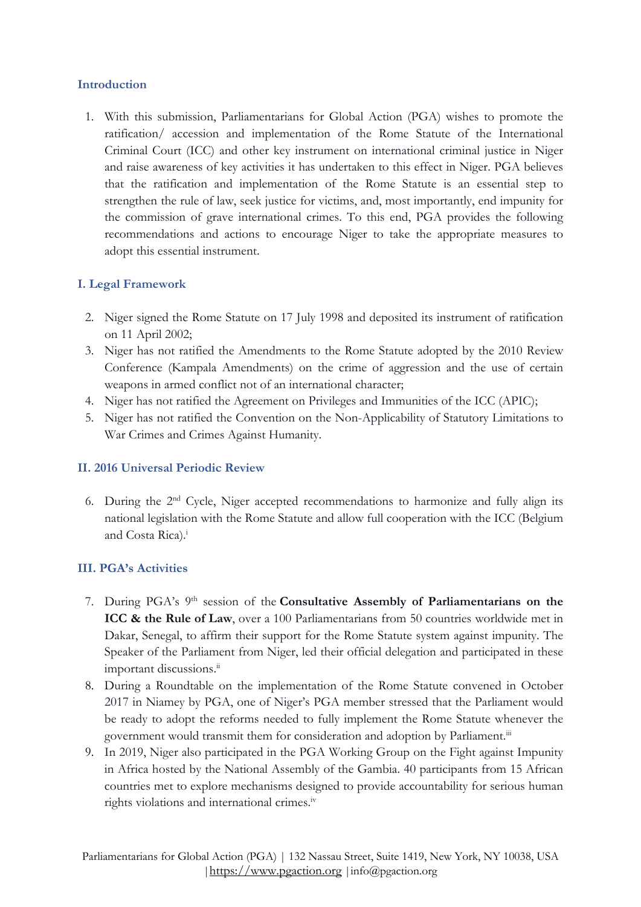#### **Introduction**

1. With this submission, Parliamentarians for Global Action (PGA) wishes to promote the ratification/ accession and implementation of the Rome Statute of the International Criminal Court (ICC) and other key instrument on international criminal justice in Niger and raise awareness of key activities it has undertaken to this effect in Niger. PGA believes that the ratification and implementation of the Rome Statute is an essential step to strengthen the rule of law, seek justice for victims, and, most importantly, end impunity for the commission of grave international crimes. To this end, PGA provides the following recommendations and actions to encourage Niger to take the appropriate measures to adopt this essential instrument.

#### **I. Legal Framework**

- 2. Niger signed the Rome Statute on 17 July 1998 and deposited its instrument of ratification on <sup>11</sup> April 2002;
- 3. Niger has not ratified the Amendments to the Rome Statute adopted by the 2010 Review Conference (Kampala Amendments) on the crime of aggression and the use of certain weapons in armed conflict not of an international character;
- 4. Niger has not ratified the Agreement on Privileges and Immunities of the ICC (APIC);
- 5. Niger has not ratified the Convention on the Non-Applicability of Statutory Limitations to War Crimes and Crimes Against Humanity.

#### **II. 2016 Universal Periodic Review**

6. During the <sup>2</sup>nd Cycle, Niger accepted recommendations to harmonize and fully align its national legislation with the Rome Statute and allow full cooperation with the ICC (Belgium and Costa Rica). i

#### **III. PGA'<sup>s</sup> Activities**

- 7. During PGA'<sup>s</sup> <sup>9</sup>th session of the **Consultative Assembly of Parliamentarians on the ICC & the Rule of Law**, over <sup>a</sup> 100 Parliamentarians from 50 countries worldwide met in Dakar, Senegal, to affirm their support for the Rome Statute system against impunity. The Speaker of the Parliament from Niger, led their official delegation and participated in these important discussions.<sup>ii</sup>
- 8. During <sup>a</sup> Roundtable on the implementation of the Rome Statute convened in October 2017 in Niamey by PGA, one of Niger'<sup>s</sup> PGA member stressed that the Parliament would be ready to adopt the reforms needed to fully implement the Rome Statute whenever the government would transmit them for consideration and adoption by Parliament.<sup>iii</sup>
- 9. In 2019, Niger also participated in the PGA Working Group on the Fight against Impunity in Africa hosted by the National Assembly of the Gambia. 40 participants from 15 African countries met to explore mechanisms designed to provide accountability for serious human rights violations and international crimes. iv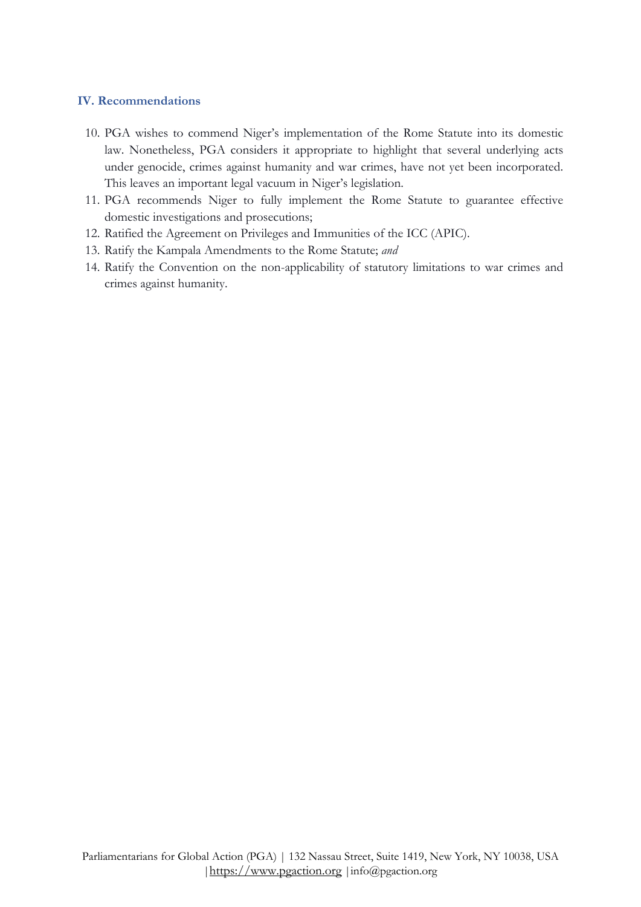#### **IV. Recommendations**

- 10. PGA wishes to commend Niger'<sup>s</sup> implementation of the Rome Statute into its domestic law. Nonetheless, PGA considers it appropriate to highlight that several underlying acts under genocide, crimes against humanity and war crimes, have not ye<sup>t</sup> been incorporated. This leaves an important legal vacuum in Niger'<sup>s</sup> legislation.
- 11. PGA recommends Niger to fully implement the Rome Statute to guarantee effective domestic investigations and prosecutions;
- 12. Ratified the Agreement on Privileges and Immunities of the ICC (APIC).
- 13. Ratify the Kampala Amendments to the Rome Statute; *and*
- 14. Ratify the Convention on the non-applicability of statutory limitations to war crimes and crimes against humanity.

2